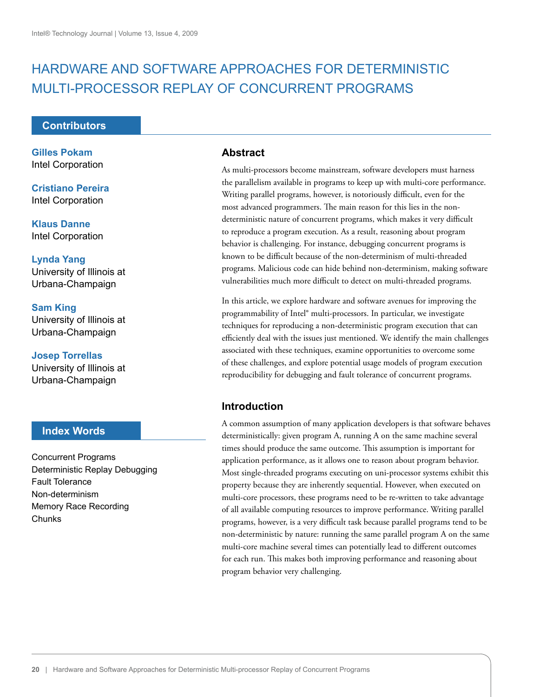# HARDWARE AND SOFTWARE APPROACHES FOR DETERMINISTIC MULTI-PROCESSOR REPLAY OF CONCURRENT PROGRAMS

### **Contributors**

**Gilles Pokam** Intel Corporation

**Cristiano Pereira** Intel Corporation

**Klaus Danne** Intel Corporation

**Lynda Yang** University of Illinois at Urbana-Champaign

**Sam King** University of Illinois at Urbana-Champaign

**Josep Torrellas** University of Illinois at Urbana-Champaign

# **Index Words**

Concurrent Programs Deterministic Replay Debugging Fault Tolerance Non-determinism Memory Race Recording **Chunks** 

### **Abstract**

As multi-processors become mainstream, software developers must harness the parallelism available in programs to keep up with multi-core performance. Writing parallel programs, however, is notoriously difficult, even for the most advanced programmers. The main reason for this lies in the nondeterministic nature of concurrent programs, which makes it very difficult to reproduce a program execution. As a result, reasoning about program behavior is challenging. For instance, debugging concurrent programs is known to be difficult because of the non-determinism of multi-threaded programs. Malicious code can hide behind non-determinism, making software vulnerabilities much more difficult to detect on multi-threaded programs.

In this article, we explore hardware and software avenues for improving the programmability of Intel® multi-processors. In particular, we investigate techniques for reproducing a non-deterministic program execution that can efficiently deal with the issues just mentioned. We identify the main challenges associated with these techniques, examine opportunities to overcome some of these challenges, and explore potential usage models of program execution reproducibility for debugging and fault tolerance of concurrent programs.

# **Introduction**

A common assumption of many application developers is that software behaves deterministically: given program A, running A on the same machine several times should produce the same outcome. This assumption is important for application performance, as it allows one to reason about program behavior. Most single-threaded programs executing on uni-processor systems exhibit this property because they are inherently sequential. However, when executed on multi-core processors, these programs need to be re-written to take advantage of all available computing resources to improve performance. Writing parallel programs, however, is a very difficult task because parallel programs tend to be non-deterministic by nature: running the same parallel program A on the same multi-core machine several times can potentially lead to different outcomes for each run. This makes both improving performance and reasoning about program behavior very challenging.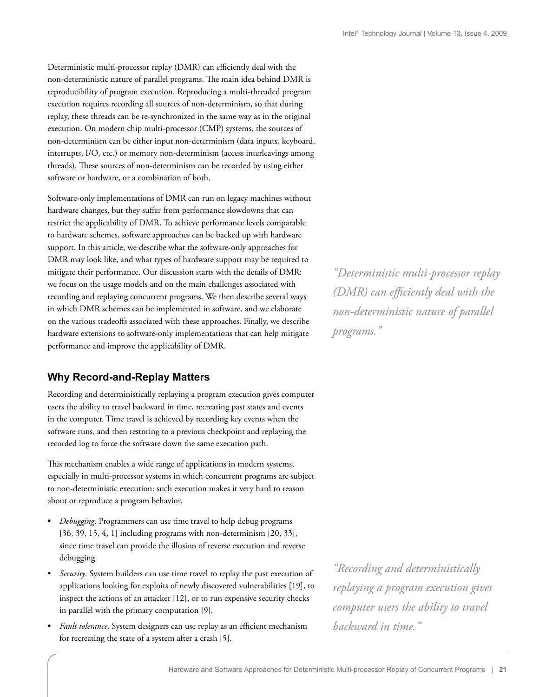Deterministic multi-processor replay (DMR) can efficiently deal with the non-deterministic nature of parallel programs. The main idea behind DMR is reproducibility of program execution. Reproducing a multi-threaded program execution requires recording all sources of non-determinism, so that during replay, these threads can be re-synchronized in the same way as in the original execution. On modern chip multi-processor (CMP) systems, the sources of non-determinism can be either input non-determinism (data inputs, keyboard, interrupts, I/O, etc.) or memory non-determinism (access interleavings among threads). These sources of non-determinism can be recorded by using either software or hardware, or a combination of both.

Software-only implementations of DMR can run on legacy machines without hardware changes, but they suffer from performance slowdowns that can restrict the applicability of DMR. To achieve performance levels comparable to hardware schemes, software approaches can be backed up with hardware support. In this article, we describe what the software-only approaches for DMR may look like, and what types of hardware support may be required to mitigate their performance. Our discussion starts with the details of DMR: we focus on the usage models and on the main challenges associated with recording and replaying concurrent programs. We then describe several ways in which DMR schemes can be implemented in software, and we elaborate on the various tradeoffs associated with these approaches. Finally, we describe hardware extensions to software-only implementations that can help mitigate performance and improve the applicability of DMR.

### **Why Record-and-Replay Matters**

Recording and deterministically replaying a program execution gives computer users the ability to travel backward in time, recreating past states and events in the computer. Time travel is achieved by recording key events when the software runs, and then restoring to a previous checkpoint and replaying the recorded log to force the software down the same execution path.

This mechanism enables a wide range of applications in modern systems, especially in multi-processor systems in which concurrent programs are subject to non-deterministic execution: such execution makes it very hard to reason about or reproduce a program behavior.

- *Debugging*. Programmers can use time travel to help debug programs [36, 39, 15, 4, 1] including programs with non-determinism [20, 33], since time travel can provide the illusion of reverse execution and reverse debugging.
- *Security*. System builders can use time travel to replay the past execution of applications looking for exploits of newly discovered vulnerabilities [19], to inspect the actions of an attacker [12], or to run expensive security checks in parallel with the primary computation [9].
- *Fault tolerance*. System designers can use replay as an efficient mechanism for recreating the state of a system after a crash [5].

*"Deterministic multi-processor replay (DMR)* can efficiently deal with the *non-deterministic nature of parallel programs."*

*"Recording and deterministically replaying a program execution gives computer users the ability to travel backward in time."*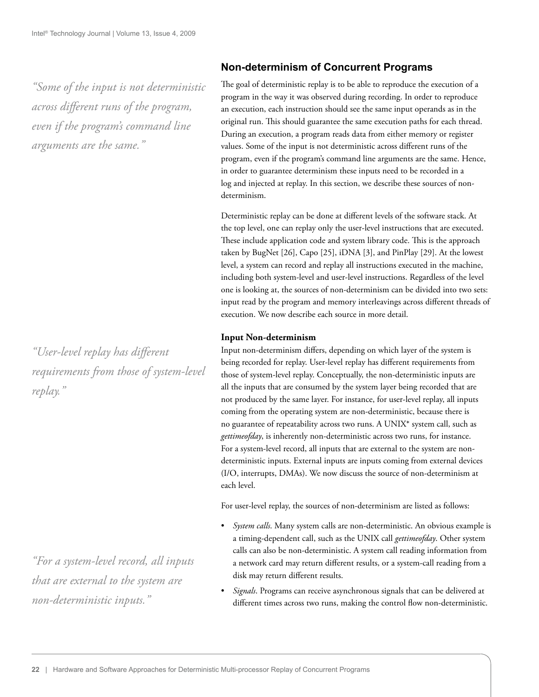*"Some of the input is not deterministic across different runs of the program, even if the program's command line arguments are the same."*

*"User-level replay has diff erent requirements from those of system-level replay."*

*"For a system-level record, all inputs that are external to the system are non-deterministic inputs."*

# **Non-determinism of Concurrent Programs**

The goal of deterministic replay is to be able to reproduce the execution of a program in the way it was observed during recording. In order to reproduce an execution, each instruction should see the same input operands as in the original run. This should guarantee the same execution paths for each thread. During an execution, a program reads data from either memory or register values. Some of the input is not deterministic across different runs of the program, even if the program's command line arguments are the same. Hence, in order to guarantee determinism these inputs need to be recorded in a log and injected at replay. In this section, we describe these sources of nondeterminism.

Deterministic replay can be done at different levels of the software stack. At the top level, one can replay only the user-level instructions that are executed. These include application code and system library code. This is the approach taken by BugNet [26], Capo [25], iDNA [3], and PinPlay [29]. At the lowest level, a system can record and replay all instructions executed in the machine, including both system-level and user-level instructions. Regardless of the level one is looking at, the sources of non-determinism can be divided into two sets: input read by the program and memory interleavings across different threads of execution. We now describe each source in more detail.

#### **Input Non-determinism**

Input non-determinism differs, depending on which layer of the system is being recorded for replay. User-level replay has different requirements from those of system-level replay. Conceptually, the non-deterministic inputs are all the inputs that are consumed by the system layer being recorded that are not produced by the same layer. For instance, for user-level replay, all inputs coming from the operating system are non-deterministic, because there is no guarantee of repeatability across two runs. A UNIX\* system call, such as *gettimeofday*, is inherently non-deterministic across two runs, for instance. For a system-level record, all inputs that are external to the system are nondeterministic inputs. External inputs are inputs coming from external devices (I/O, interrupts, DMAs). We now discuss the source of non-determinism at each level.

For user-level replay, the sources of non-determinism are listed as follows:

- *System calls*. Many system calls are non-deterministic. An obvious example is a timing-dependent call, such as the UNIX call *gettimeofday*. Other system calls can also be non-deterministic. A system call reading information from a network card may return different results, or a system-call reading from a disk may return different results.
- *Signals*. Programs can receive asynchronous signals that can be delivered at different times across two runs, making the control flow non-deterministic.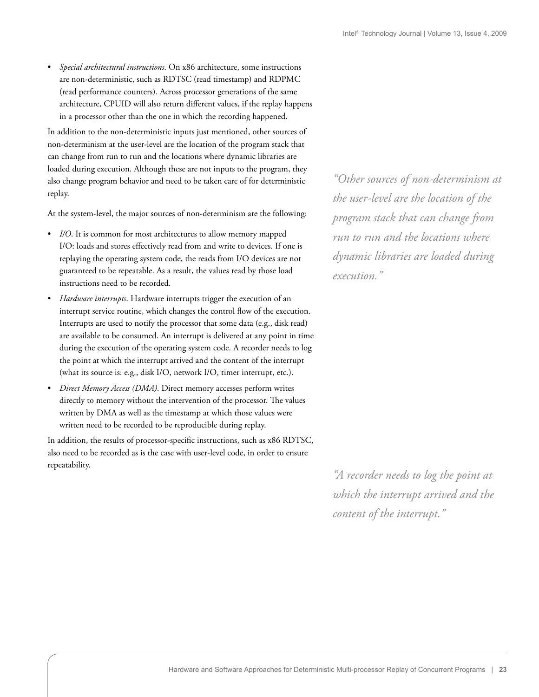• *Special architectural instructions*. On x86 architecture, some instructions are non-deterministic, such as RDTSC (read timestamp) and RDPMC (read performance counters). Across processor generations of the same architecture, CPUID will also return different values, if the replay happens in a processor other than the one in which the recording happened.

In addition to the non-deterministic inputs just mentioned, other sources of non-determinism at the user-level are the location of the program stack that can change from run to run and the locations where dynamic libraries are loaded during execution. Although these are not inputs to the program, they also change program behavior and need to be taken care of for deterministic replay.

At the system-level, the major sources of non-determinism are the following:

- *I/O*. It is common for most architectures to allow memory mapped I/O: loads and stores effectively read from and write to devices. If one is replaying the operating system code, the reads from I/O devices are not guaranteed to be repeatable. As a result, the values read by those load instructions need to be recorded.
- *Hardware interrupts*. Hardware interrupts trigger the execution of an interrupt service routine, which changes the control flow of the execution. Interrupts are used to notify the processor that some data (e.g., disk read) are available to be consumed. An interrupt is delivered at any point in time during the execution of the operating system code. A recorder needs to log the point at which the interrupt arrived and the content of the interrupt (what its source is: e.g., disk I/O, network I/O, timer interrupt, etc.).
- *Direct Memory Access (DMA)*. Direct memory accesses perform writes directly to memory without the intervention of the processor. The values written by DMA as well as the timestamp at which those values were written need to be recorded to be reproducible during replay.

In addition, the results of processor-specific instructions, such as x86 RDTSC, also need to be recorded as is the case with user-level code, in order to ensure repeatability.

*"Other sources of non-determinism at the user-level are the location of the program stack that can change from run to run and the locations where dynamic libraries are loaded during execution."*

*"A recorder needs to log the point at which the interrupt arrived and the content of the interrupt."*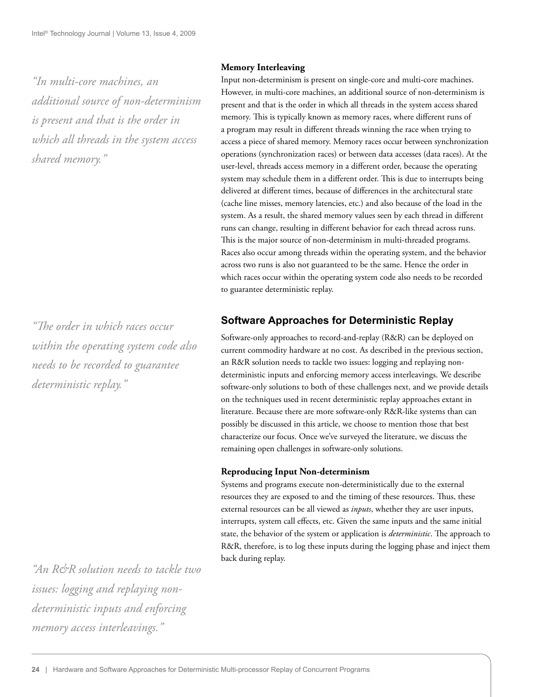*"In multi-core machines, an additional source of non-determinism is present and that is the order in which all threads in the system access shared memory."*

*"# e order in which races occur within the operating system code also needs to be recorded to guarantee deterministic replay."*

**Memory Interleaving**

Input non-determinism is present on single-core and multi-core machines. However, in multi-core machines, an additional source of non-determinism is present and that is the order in which all threads in the system access shared memory. This is typically known as memory races, where different runs of a program may result in different threads winning the race when trying to access a piece of shared memory. Memory races occur between synchronization operations (synchronization races) or between data accesses (data races). At the user-level, threads access memory in a different order, because the operating system may schedule them in a different order. This is due to interrupts being delivered at different times, because of differences in the architectural state (cache line misses, memory latencies, etc.) and also because of the load in the system. As a result, the shared memory values seen by each thread in different runs can change, resulting in different behavior for each thread across runs. This is the major source of non-determinism in multi-threaded programs. Races also occur among threads within the operating system, and the behavior across two runs is also not guaranteed to be the same. Hence the order in which races occur within the operating system code also needs to be recorded to guarantee deterministic replay.

### **Software Approaches for Deterministic Replay**

Software-only approaches to record-and-replay (R&R) can be deployed on current commodity hardware at no cost. As described in the previous section, an R&R solution needs to tackle two issues: logging and replaying nondeterministic inputs and enforcing memory access interleavings. We describe software-only solutions to both of these challenges next, and we provide details on the techniques used in recent deterministic replay approaches extant in literature. Because there are more software-only R&R-like systems than can possibly be discussed in this article, we choose to mention those that best characterize our focus. Once we've surveyed the literature, we discuss the remaining open challenges in software-only solutions.

#### **Reproducing Input Non-determinism**

Systems and programs execute non-deterministically due to the external resources they are exposed to and the timing of these resources. Thus, these external resources can be all viewed as *inputs*, whether they are user inputs, interrupts, system call effects, etc. Given the same inputs and the same initial state, the behavior of the system or application is *deterministic*. The approach to R&R, therefore, is to log these inputs during the logging phase and inject them back during replay.

*"An R&R solution needs to tackle two issues: logging and replaying nondeterministic inputs and enforcing memory access interleavings."*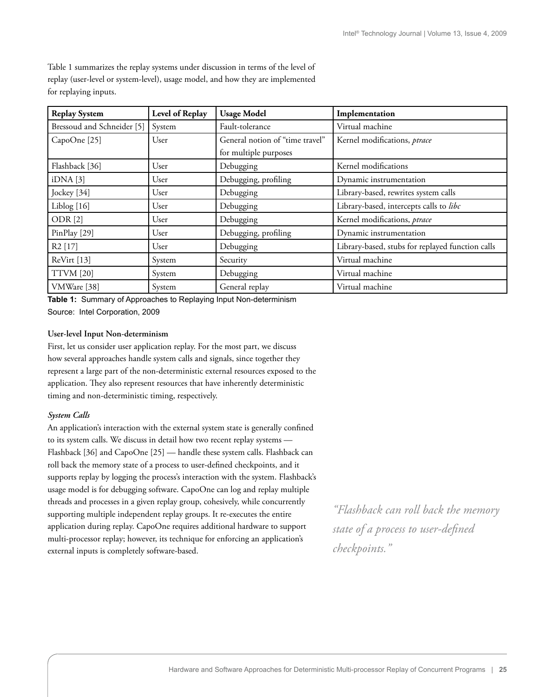| <b>Replay System</b>       | Level of Replay | <b>Usage Model</b>              | Implementation                                   |  |
|----------------------------|-----------------|---------------------------------|--------------------------------------------------|--|
| Bressoud and Schneider [5] | System          | Fault-tolerance                 | Virtual machine                                  |  |
| CapoOne [25]               | User            | General notion of "time travel" | Kernel modifications, ptrace                     |  |
|                            |                 | for multiple purposes           |                                                  |  |
| Flashback [36]             | User            | Debugging                       | Kernel modifications                             |  |
| iDNA[3]                    | User            | Debugging, profiling            | Dynamic instrumentation                          |  |
| Jockey [34]                | User            | Debugging                       | Library-based, rewrites system calls             |  |
| Liblog [16]                | User            | Debugging                       | Library-based, intercepts calls to libc          |  |
| ODR <sub>[2]</sub>         | User            | Debugging                       | Kernel modifications, ptrace                     |  |
| PinPlay [29]               | User            | Debugging, profiling            | Dynamic instrumentation                          |  |
| R <sub>2</sub> [17]        | User            | Debugging                       | Library-based, stubs for replayed function calls |  |
| ReVirt [13]                | System          | Security                        | Virtual machine                                  |  |
| <b>TTVM</b> [20]           | System          | Debugging                       | Virtual machine                                  |  |
| VMWare [38]                | System          | General replay                  | Virtual machine                                  |  |

Table 1 summarizes the replay systems under discussion in terms of the level of replay (user-level or system-level), usage model, and how they are implemented for replaying inputs.

**Table 1:** Summary of Approaches to Replaying Input Non-determinism Source: Intel Corporation, 2009

#### **User-level Input Non-determinism**

First, let us consider user application replay. For the most part, we discuss how several approaches handle system calls and signals, since together they represent a large part of the non-deterministic external resources exposed to the application. They also represent resources that have inherently deterministic timing and non-deterministic timing, respectively.

#### *System Calls*

An application's interaction with the external system state is generally confined to its system calls. We discuss in detail how two recent replay systems — Flashback [36] and CapoOne [25] — handle these system calls. Flashback can roll back the memory state of a process to user-defined checkpoints, and it supports replay by logging the process's interaction with the system. Flashback's usage model is for debugging software. CapoOne can log and replay multiple threads and processes in a given replay group, cohesively, while concurrently supporting multiple independent replay groups. It re-executes the entire application during replay. CapoOne requires additional hardware to support multi-processor replay; however, its technique for enforcing an application's external inputs is completely software-based.

*"Flashback can roll back the memory state of a process to user-defi ned checkpoints."*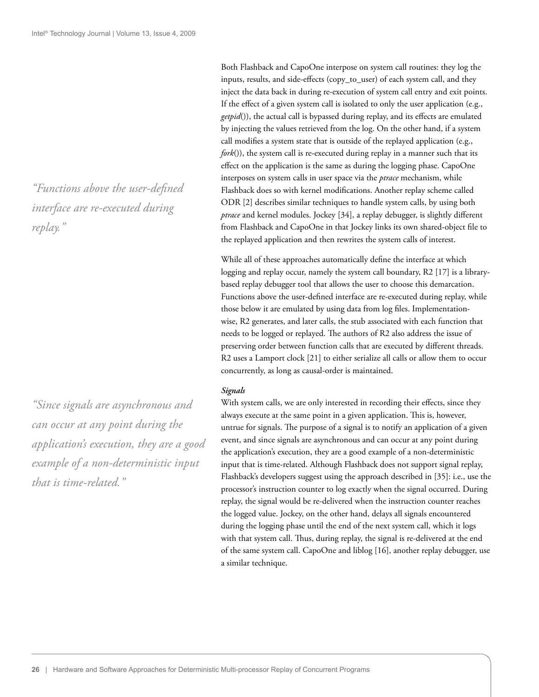*"Functions above the user-defi ned interface are re-executed during replay."*

*"Since signals are asynchronous and can occur at any point during the application's execution, they are a good example of a non-deterministic input that is time-related."*

Both Flashback and CapoOne interpose on system call routines: they log the inputs, results, and side-effects (copy\_to\_user) of each system call, and they inject the data back in during re-execution of system call entry and exit points. If the effect of a given system call is isolated to only the user application (e.g., getpid()), the actual call is bypassed during replay, and its effects are emulated by injecting the values retrieved from the log. On the other hand, if a system call modifies a system state that is outside of the replayed application (e.g., *fork*()), the system call is re-executed during replay in a manner such that its effect on the application is the same as during the logging phase. CapoOne interposes on system calls in user space via the *ptrace* mechanism, while Flashback does so with kernel modifications. Another replay scheme called ODR [2] describes similar techniques to handle system calls, by using both *ptrace* and kernel modules. Jockey [34], a replay debugger, is slightly different from Flashback and CapoOne in that Jockey links its own shared-object file to the replayed application and then rewrites the system calls of interest.

While all of these approaches automatically define the interface at which logging and replay occur, namely the system call boundary, R2 [17] is a librarybased replay debugger tool that allows the user to choose this demarcation. Functions above the user-defined interface are re-executed during replay, while those below it are emulated by using data from log files. Implementationwise, R2 generates, and later calls, the stub associated with each function that needs to be logged or replayed. The authors of R2 also address the issue of preserving order between function calls that are executed by different threads. R2 uses a Lamport clock [21] to either serialize all calls or allow them to occur concurrently, as long as causal-order is maintained.

#### *Signals*

With system calls, we are only interested in recording their effects, since they always execute at the same point in a given application. This is, however, untrue for signals. The purpose of a signal is to notify an application of a given event, and since signals are asynchronous and can occur at any point during the application's execution, they are a good example of a non-deterministic input that is time-related. Although Flashback does not support signal replay, Flashback's developers suggest using the approach described in [35]: i.e., use the processor's instruction counter to log exactly when the signal occurred. During replay, the signal would be re-delivered when the instruction counter reaches the logged value. Jockey, on the other hand, delays all signals encountered during the logging phase until the end of the next system call, which it logs with that system call. Thus, during replay, the signal is re-delivered at the end of the same system call. CapoOne and liblog [16], another replay debugger, use a similar technique.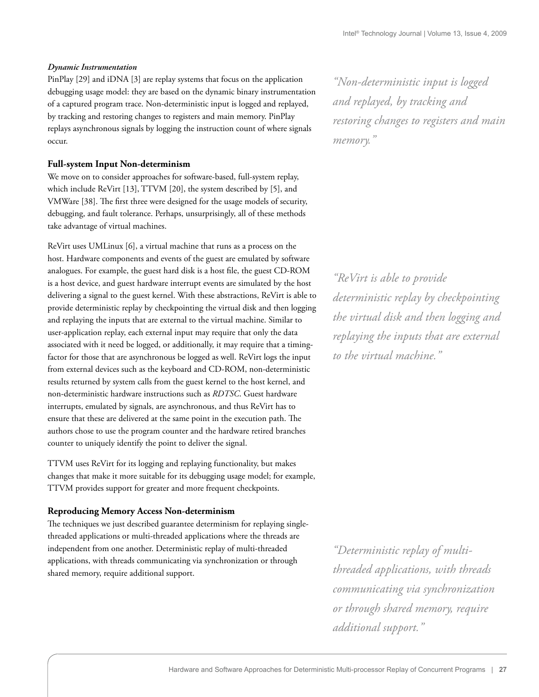#### *Dynamic Instrumentation*

PinPlay [29] and iDNA [3] are replay systems that focus on the application debugging usage model: they are based on the dynamic binary instrumentation of a captured program trace. Non-deterministic input is logged and replayed, by tracking and restoring changes to registers and main memory. PinPlay replays asynchronous signals by logging the instruction count of where signals occur.

#### **Full-system Input Non-determinism**

We move on to consider approaches for software-based, full-system replay, which include ReVirt [13], TTVM [20], the system described by [5], and VMWare [38]. The first three were designed for the usage models of security, debugging, and fault tolerance. Perhaps, unsurprisingly, all of these methods take advantage of virtual machines.

ReVirt uses UMLinux [6], a virtual machine that runs as a process on the host. Hardware components and events of the guest are emulated by software analogues. For example, the guest hard disk is a host file, the guest CD-ROM is a host device, and guest hardware interrupt events are simulated by the host delivering a signal to the guest kernel. With these abstractions, ReVirt is able to provide deterministic replay by checkpointing the virtual disk and then logging and replaying the inputs that are external to the virtual machine. Similar to user-application replay, each external input may require that only the data associated with it need be logged, or additionally, it may require that a timingfactor for those that are asynchronous be logged as well. ReVirt logs the input from external devices such as the keyboard and CD-ROM, non-deterministic results returned by system calls from the guest kernel to the host kernel, and non-deterministic hardware instructions such as *RDTSC*. Guest hardware interrupts, emulated by signals, are asynchronous, and thus ReVirt has to ensure that these are delivered at the same point in the execution path. The authors chose to use the program counter and the hardware retired branches counter to uniquely identify the point to deliver the signal.

TTVM uses ReVirt for its logging and replaying functionality, but makes changes that make it more suitable for its debugging usage model; for example, TTVM provides support for greater and more frequent checkpoints.

#### **Reproducing Memory Access Non-determinism**

The techniques we just described guarantee determinism for replaying singlethreaded applications or multi-threaded applications where the threads are independent from one another. Deterministic replay of multi-threaded applications, with threads communicating via synchronization or through shared memory, require additional support.

*"Non-deterministic input is logged and replayed, by tracking and restoring changes to registers and main memory."*

*"ReVirt is able to provide deterministic replay by checkpointing the virtual disk and then logging and replaying the inputs that are external to the virtual machine."*

*"Deterministic replay of multithreaded applications, with threads communicating via synchronization or through shared memory, require additional support."*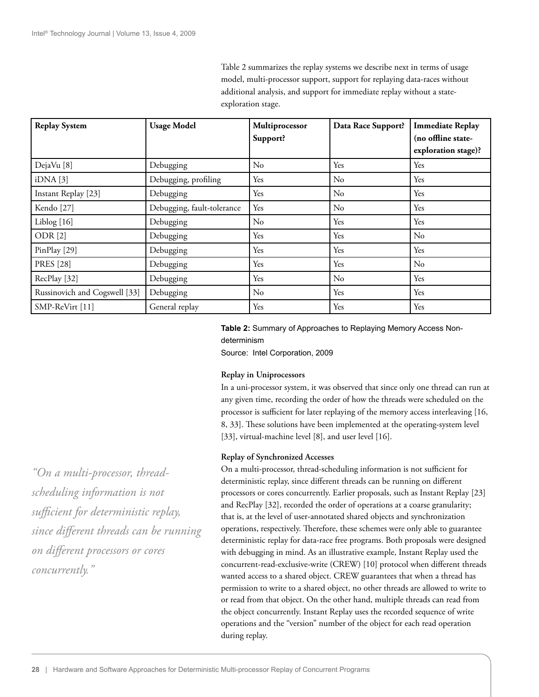Table 2 summarizes the replay systems we describe next in terms of usage model, multi-processor support, support for replaying data-races without additional analysis, and support for immediate replay without a stateexploration stage.

| <b>Replay System</b>          | <b>Usage Model</b>         | Multiprocessor<br>Support? | Data Race Support? | <b>Immediate Replay</b><br>(no offline state- |
|-------------------------------|----------------------------|----------------------------|--------------------|-----------------------------------------------|
|                               |                            |                            |                    | exploration stage)?                           |
| DejaVu <sup>[8]</sup>         | Debugging                  | $\rm No$                   | Yes                | Yes                                           |
| iDNA[3]                       | Debugging, profiling       | Yes                        | No                 | Yes                                           |
| Instant Replay [23]           | Debugging                  | Yes                        | No                 | Yes                                           |
| Kendo <sup>[27]</sup>         | Debugging, fault-tolerance | Yes                        | No                 | Yes                                           |
| Liblog [16]                   | Debugging                  | N <sub>o</sub>             | Yes                | Yes                                           |
| ODR <sub>[2]</sub>            | Debugging                  | Yes                        | Yes                | $\rm No$                                      |
| PinPlay [29]                  | Debugging                  | Yes                        | Yes                | Yes                                           |
| <b>PRES</b> [28]              | Debugging                  | Yes                        | Yes                | $\rm No$                                      |
| RecPlay [32]                  | Debugging                  | Yes                        | No                 | Yes                                           |
| Russinovich and Cogswell [33] | Debugging                  | $\rm No$                   | Yes                | Yes                                           |
| SMP-ReVirt [11]               | General replay             | Yes                        | Yes                | Yes                                           |

#### **Table 2:** Summary of Approaches to Replaying Memory Access Nondeterminism

Source: Intel Corporation, 2009

#### **Replay in Uniprocessors**

In a uni-processor system, it was observed that since only one thread can run at any given time, recording the order of how the threads were scheduled on the processor is sufficient for later replaying of the memory access interleaving [16, 8, 33]. These solutions have been implemented at the operating-system level [33], virtual-machine level [8], and user level [16].

#### **Replay of Synchronized Accesses**

On a multi-processor, thread-scheduling information is not sufficient for deterministic replay, since different threads can be running on different processors or cores concurrently. Earlier proposals, such as Instant Replay [23] and RecPlay [32], recorded the order of operations at a coarse granularity; that is, at the level of user-annotated shared objects and synchronization operations, respectively. Therefore, these schemes were only able to guarantee deterministic replay for data-race free programs. Both proposals were designed with debugging in mind. As an illustrative example, Instant Replay used the concurrent-read-exclusive-write (CREW) [10] protocol when different threads wanted access to a shared object. CREW guarantees that when a thread has permission to write to a shared object, no other threads are allowed to write to or read from that object. On the other hand, multiple threads can read from the object concurrently. Instant Replay uses the recorded sequence of write operations and the "version" number of the object for each read operation during replay.

*"On a multi-processor, threadscheduling information is not suffi cient for deterministic replay, since diff erent threads can be running on diff erent processors or cores concurrently."*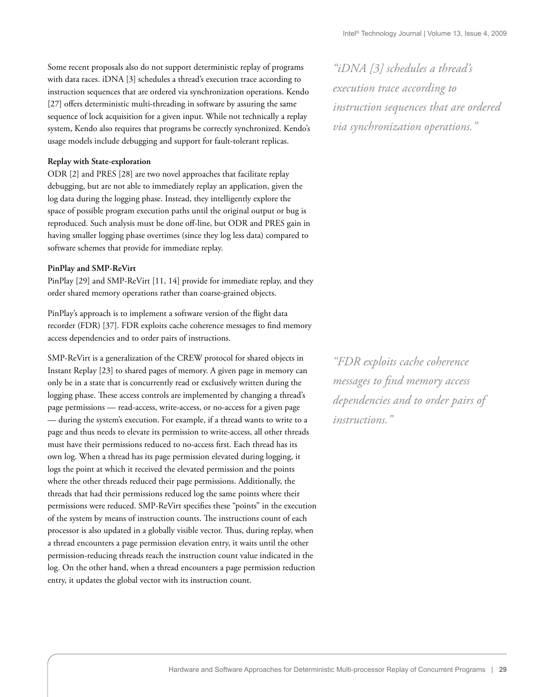Some recent proposals also do not support deterministic replay of programs with data races. iDNA [3] schedules a thread's execution trace according to instruction sequences that are ordered via synchronization operations. Kendo [27] offers deterministic multi-threading in software by assuring the same sequence of lock acquisition for a given input. While not technically a replay system, Kendo also requires that programs be correctly synchronized. Kendo's usage models include debugging and support for fault-tolerant replicas.

#### **Replay with State-exploration**

ODR [2] and PRES [28] are two novel approaches that facilitate replay debugging, but are not able to immediately replay an application, given the log data during the logging phase. Instead, they intelligently explore the space of possible program execution paths until the original output or bug is reproduced. Such analysis must be done off -line, but ODR and PRES gain in having smaller logging phase overtimes (since they log less data) compared to software schemes that provide for immediate replay.

#### **PinPlay and SMP-ReVirt**

PinPlay [29] and SMP-ReVirt [11, 14] provide for immediate replay, and they order shared memory operations rather than coarse-grained objects.

PinPlay's approach is to implement a software version of the flight data recorder (FDR) [37]. FDR exploits cache coherence messages to find memory access dependencies and to order pairs of instructions.

SMP-ReVirt is a generalization of the CREW protocol for shared objects in Instant Replay [23] to shared pages of memory. A given page in memory can only be in a state that is concurrently read or exclusively written during the logging phase. These access controls are implemented by changing a thread's page permissions — read-access, write-access, or no-access for a given page — during the system's execution. For example, if a thread wants to write to a page and thus needs to elevate its permission to write-access, all other threads must have their permissions reduced to no-access first. Each thread has its own log. When a thread has its page permission elevated during logging, it logs the point at which it received the elevated permission and the points where the other threads reduced their page permissions. Additionally, the threads that had their permissions reduced log the same points where their permissions were reduced. SMP-ReVirt specifies these "points" in the execution of the system by means of instruction counts. The instructions count of each processor is also updated in a globally visible vector. Thus, during replay, when a thread encounters a page permission elevation entry, it waits until the other permission-reducing threads reach the instruction count value indicated in the log. On the other hand, when a thread encounters a page permission reduction entry, it updates the global vector with its instruction count.

*"iDNA [3] schedules a thread's execution trace according to instruction sequences that are ordered via synchronization operations."*

*"FDR exploits cache coherence messages to fi nd memory access dependencies and to order pairs of instructions."*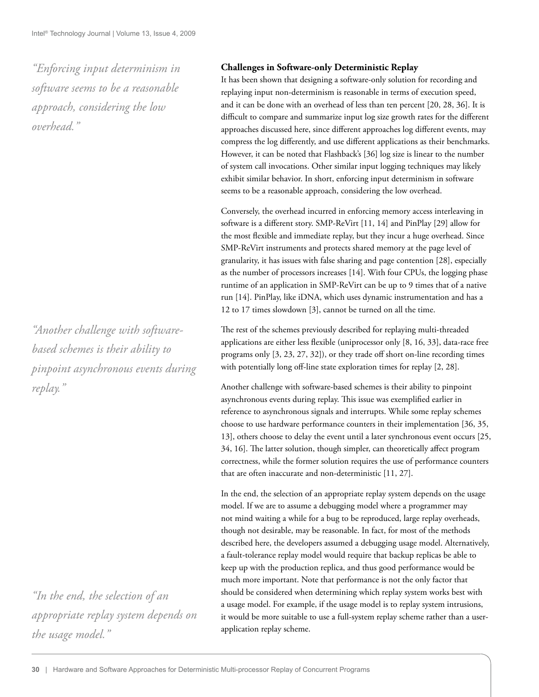*"Enforcing input determinism in software seems to be a reasonable approach, considering the low overhead."*

*"Another challenge with softwarebased schemes is their ability to pinpoint asynchronous events during replay."*

*"In the end, the selection of an appropriate replay system depends on the usage model."*

#### **Challenges in Software-only Deterministic Replay**

It has been shown that designing a software-only solution for recording and replaying input non-determinism is reasonable in terms of execution speed, and it can be done with an overhead of less than ten percent [20, 28, 36]. It is difficult to compare and summarize input log size growth rates for the different approaches discussed here, since different approaches log different events, may compress the log differently, and use different applications as their benchmarks. However, it can be noted that Flashback's [36] log size is linear to the number of system call invocations. Other similar input logging techniques may likely exhibit similar behavior. In short, enforcing input determinism in software seems to be a reasonable approach, considering the low overhead.

Conversely, the overhead incurred in enforcing memory access interleaving in software is a different story. SMP-ReVirt [11, 14] and PinPlay [29] allow for the most flexible and immediate replay, but they incur a huge overhead. Since SMP-ReVirt instruments and protects shared memory at the page level of granularity, it has issues with false sharing and page contention [28], especially as the number of processors increases [14]. With four CPUs, the logging phase runtime of an application in SMP-ReVirt can be up to 9 times that of a native run [14]. PinPlay, like iDNA, which uses dynamic instrumentation and has a 12 to 17 times slowdown [3], cannot be turned on all the time.

The rest of the schemes previously described for replaying multi-threaded applications are either less flexible (uniprocessor only [8, 16, 33], data-race free programs only [3, 23, 27, 32]), or they trade off short on-line recording times with potentially long off-line state exploration times for replay [2, 28].

Another challenge with software-based schemes is their ability to pinpoint asynchronous events during replay. This issue was exemplified earlier in reference to asynchronous signals and interrupts. While some replay schemes choose to use hardware performance counters in their implementation [36, 35, 13], others choose to delay the event until a later synchronous event occurs [25, 34, 16]. The latter solution, though simpler, can theoretically affect program correctness, while the former solution requires the use of performance counters that are often inaccurate and non-deterministic [11, 27].

In the end, the selection of an appropriate replay system depends on the usage model. If we are to assume a debugging model where a programmer may not mind waiting a while for a bug to be reproduced, large replay overheads, though not desirable, may be reasonable. In fact, for most of the methods described here, the developers assumed a debugging usage model. Alternatively, a fault-tolerance replay model would require that backup replicas be able to keep up with the production replica, and thus good performance would be much more important. Note that performance is not the only factor that should be considered when determining which replay system works best with a usage model. For example, if the usage model is to replay system intrusions, it would be more suitable to use a full-system replay scheme rather than a userapplication replay scheme.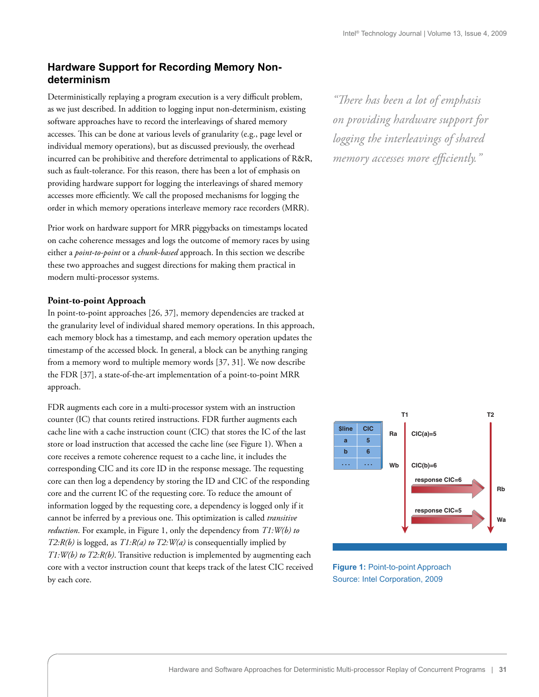## **Hardware Support for Recording Memory Nondeterminism**

Deterministically replaying a program execution is a very difficult problem, as we just described. In addition to logging input non-determinism, existing software approaches have to record the interleavings of shared memory accesses. This can be done at various levels of granularity (e.g., page level or individual memory operations), but as discussed previously, the overhead incurred can be prohibitive and therefore detrimental to applications of R&R, such as fault-tolerance. For this reason, there has been a lot of emphasis on providing hardware support for logging the interleavings of shared memory accesses more efficiently. We call the proposed mechanisms for logging the order in which memory operations interleave memory race recorders (MRR).

Prior work on hardware support for MRR piggybacks on timestamps located on cache coherence messages and logs the outcome of memory races by using either a *point-to-point* or a *chunk-based* approach. In this section we describe these two approaches and suggest directions for making them practical in modern multi-processor systems.

#### **Point-to-point Approach**

In point-to-point approaches [26, 37], memory dependencies are tracked at the granularity level of individual shared memory operations. In this approach, each memory block has a timestamp, and each memory operation updates the timestamp of the accessed block. In general, a block can be anything ranging from a memory word to multiple memory words [37, 31]. We now describe the FDR [37], a state-of-the-art implementation of a point-to-point MRR approach.

FDR augments each core in a multi-processor system with an instruction counter (IC) that counts retired instructions. FDR further augments each cache line with a cache instruction count (CIC) that stores the IC of the last store or load instruction that accessed the cache line (see Figure 1). When a core receives a remote coherence request to a cache line, it includes the corresponding CIC and its core ID in the response message. The requesting core can then log a dependency by storing the ID and CIC of the responding core and the current IC of the requesting core. To reduce the amount of information logged by the requesting core, a dependency is logged only if it cannot be inferred by a previous one. This optimization is called *transitive reduction*. For example, in Figure 1, only the dependency from *T1:W(b) to T2:R(b)* is logged, as *T1:R(a) to T2:W(a)* is consequentially implied by *T1:W(b) to T2:R(b)*. Transitive reduction is implemented by augmenting each core with a vector instruction count that keeps track of the latest CIC received by each core.

*"There has been a lot of emphasis on providing hardware support for logging the interleavings of shared memory accesses more efficiently.*"



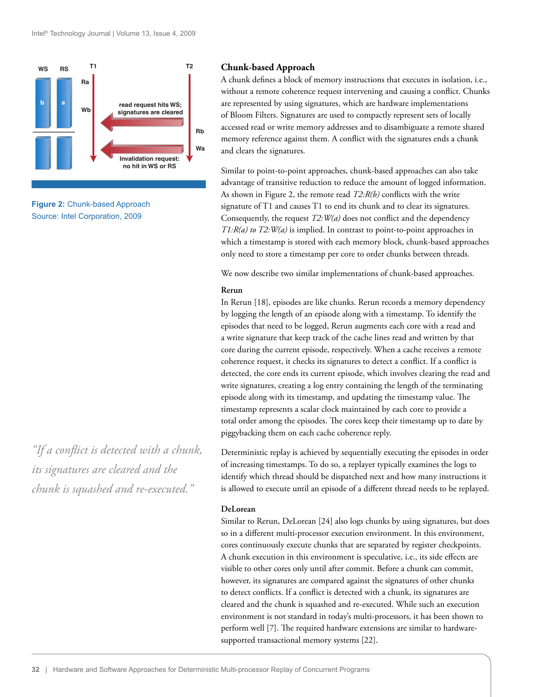

**Figure 2:** Chunk-based Approach Source: Intel Corporation, 2009

*"If a conflict is detected with a chunk, its signatures are cleared and the chunk is squashed and re-executed."*

#### **Chunk-based Approach**

A chunk defines a block of memory instructions that executes in isolation, i.e., without a remote coherence request intervening and causing a conflict. Chunks are represented by using signatures, which are hardware implementations of Bloom Filters. Signatures are used to compactly represent sets of locally accessed read or write memory addresses and to disambiguate a remote shared memory reference against them. A conflict with the signatures ends a chunk and clears the signatures.

Similar to point-to-point approaches, chunk-based approaches can also take advantage of transitive reduction to reduce the amount of logged information. As shown in Figure 2, the remote read  $T2:R(b)$  conflicts with the write signature of T1 and causes T1 to end its chunk and to clear its signatures. Consequently, the request *T2:W(a)* does not conflict and the dependency *T1:R(a) to T2:W(a)* is implied. In contrast to point-to-point approaches in which a timestamp is stored with each memory block, chunk-based approaches only need to store a timestamp per core to order chunks between threads.

We now describe two similar implementations of chunk-based approaches.

#### **Rerun**

In Rerun [18], episodes are like chunks. Rerun records a memory dependency by logging the length of an episode along with a timestamp. To identify the episodes that need to be logged, Rerun augments each core with a read and a write signature that keep track of the cache lines read and written by that core during the current episode, respectively. When a cache receives a remote coherence request, it checks its signatures to detect a conflict. If a conflict is detected, the core ends its current episode, which involves clearing the read and write signatures, creating a log entry containing the length of the terminating episode along with its timestamp, and updating the timestamp value. The timestamp represents a scalar clock maintained by each core to provide a total order among the episodes. The cores keep their timestamp up to date by piggybacking them on each cache coherence reply.

Deterministic replay is achieved by sequentially executing the episodes in order of increasing timestamps. To do so, a replayer typically examines the logs to identify which thread should be dispatched next and how many instructions it is allowed to execute until an episode of a different thread needs to be replayed.

#### **DeLorean**

Similar to Rerun, DeLorean [24] also logs chunks by using signatures, but does so in a different multi-processor execution environment. In this environment, cores continuously execute chunks that are separated by register checkpoints. A chunk execution in this environment is speculative, i.e., its side effects are visible to other cores only until after commit. Before a chunk can commit, however, its signatures are compared against the signatures of other chunks to detect conflicts. If a conflict is detected with a chunk, its signatures are cleared and the chunk is squashed and re-executed. While such an execution environment is not standard in today's multi-processors, it has been shown to perform well [7]. The required hardware extensions are similar to hardwaresupported transactional memory systems [22].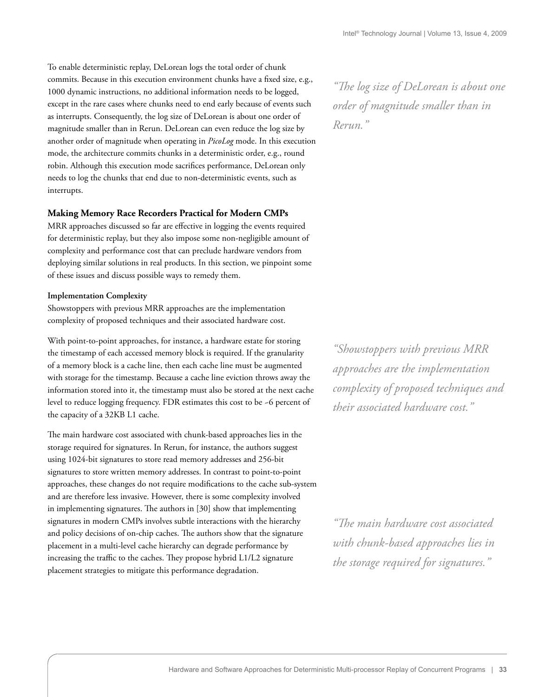To enable deterministic replay, DeLorean logs the total order of chunk commits. Because in this execution environment chunks have a fixed size, e.g., 1000 dynamic instructions, no additional information needs to be logged, except in the rare cases where chunks need to end early because of events such as interrupts. Consequently, the log size of DeLorean is about one order of magnitude smaller than in Rerun. DeLorean can even reduce the log size by another order of magnitude when operating in *PicoLog* mode. In this execution mode, the architecture commits chunks in a deterministic order, e.g., round robin. Although this execution mode sacrifices performance, DeLorean only needs to log the chunks that end due to non-deterministic events, such as interrupts.

#### **Making Memory Race Recorders Practical for Modern CMPs**

MRR approaches discussed so far are effective in logging the events required for deterministic replay, but they also impose some non-negligible amount of complexity and performance cost that can preclude hardware vendors from deploying similar solutions in real products. In this section, we pinpoint some of these issues and discuss possible ways to remedy them.

#### **Implementation Complexity**

Showstoppers with previous MRR approaches are the implementation complexity of proposed techniques and their associated hardware cost.

With point-to-point approaches, for instance, a hardware estate for storing the timestamp of each accessed memory block is required. If the granularity of a memory block is a cache line, then each cache line must be augmented with storage for the timestamp. Because a cache line eviction throws away the information stored into it, the timestamp must also be stored at the next cache level to reduce logging frequency. FDR estimates this cost to be ~6 percent of the capacity of a 32KB L1 cache.

The main hardware cost associated with chunk-based approaches lies in the storage required for signatures. In Rerun, for instance, the authors suggest using 1024-bit signatures to store read memory addresses and 256-bit signatures to store written memory addresses. In contrast to point-to-point approaches, these changes do not require modifications to the cache sub-system and are therefore less invasive. However, there is some complexity involved in implementing signatures. The authors in [30] show that implementing signatures in modern CMPs involves subtle interactions with the hierarchy and policy decisions of on-chip caches. The authors show that the signature placement in a multi-level cache hierarchy can degrade performance by increasing the traffic to the caches. They propose hybrid L1/L2 signature placement strategies to mitigate this performance degradation.

*"The log size of DeLorean is about one order of magnitude smaller than in Rerun."*

*"Showstoppers with previous MRR approaches are the implementation complexity of proposed techniques and their associated hardware cost."*

*"# e main hardware cost associated with chunk-based approaches lies in the storage required for signatures."*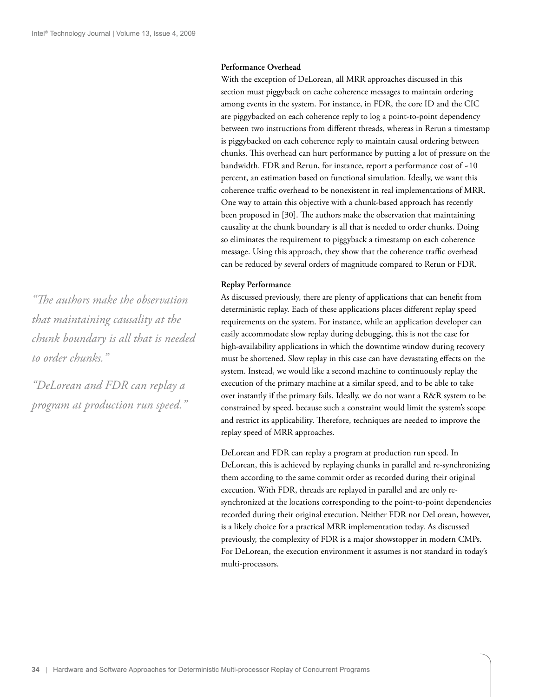#### **Performance Overhead**

With the exception of DeLorean, all MRR approaches discussed in this section must piggyback on cache coherence messages to maintain ordering among events in the system. For instance, in FDR, the core ID and the CIC are piggybacked on each coherence reply to log a point-to-point dependency between two instructions from different threads, whereas in Rerun a timestamp is piggybacked on each coherence reply to maintain causal ordering between chunks. This overhead can hurt performance by putting a lot of pressure on the bandwidth. FDR and Rerun, for instance, report a performance cost of ~10 percent, an estimation based on functional simulation. Ideally, we want this coherence traffic overhead to be nonexistent in real implementations of MRR. One way to attain this objective with a chunk-based approach has recently been proposed in [30]. The authors make the observation that maintaining causality at the chunk boundary is all that is needed to order chunks. Doing so eliminates the requirement to piggyback a timestamp on each coherence message. Using this approach, they show that the coherence traffic overhead can be reduced by several orders of magnitude compared to Rerun or FDR.

#### **Replay Performance**

As discussed previously, there are plenty of applications that can benefit from deterministic replay. Each of these applications places different replay speed requirements on the system. For instance, while an application developer can easily accommodate slow replay during debugging, this is not the case for high-availability applications in which the downtime window during recovery must be shortened. Slow replay in this case can have devastating effects on the system. Instead, we would like a second machine to continuously replay the execution of the primary machine at a similar speed, and to be able to take over instantly if the primary fails. Ideally, we do not want a R&R system to be constrained by speed, because such a constraint would limit the system's scope and restrict its applicability. Therefore, techniques are needed to improve the replay speed of MRR approaches.

DeLorean and FDR can replay a program at production run speed. In DeLorean, this is achieved by replaying chunks in parallel and re-synchronizing them according to the same commit order as recorded during their original execution. With FDR, threads are replayed in parallel and are only resynchronized at the locations corresponding to the point-to-point dependencies recorded during their original execution. Neither FDR nor DeLorean, however, is a likely choice for a practical MRR implementation today. As discussed previously, the complexity of FDR is a major showstopper in modern CMPs. For DeLorean, the execution environment it assumes is not standard in today's multi-processors.

*"# e authors make the observation that maintaining causality at the chunk boundary is all that is needed to order chunks."*

*"DeLorean and FDR can replay a program at production run speed."*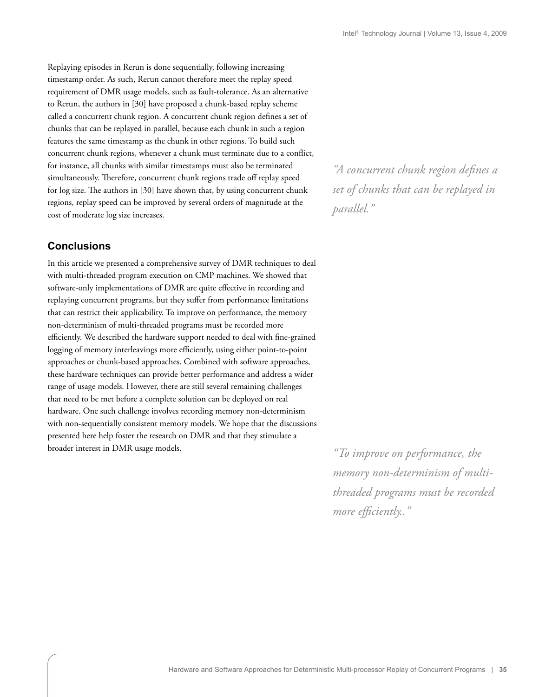Replaying episodes in Rerun is done sequentially, following increasing timestamp order. As such, Rerun cannot therefore meet the replay speed requirement of DMR usage models, such as fault-tolerance. As an alternative to Rerun, the authors in [30] have proposed a chunk-based replay scheme called a concurrent chunk region. A concurrent chunk region defines a set of chunks that can be replayed in parallel, because each chunk in such a region features the same timestamp as the chunk in other regions. To build such concurrent chunk regions, whenever a chunk must terminate due to a conflict, for instance, all chunks with similar timestamps must also be terminated simultaneously. Therefore, concurrent chunk regions trade off replay speed for  $log size$ . The authors in [30] have shown that, by using concurrent chunk regions, replay speed can be improved by several orders of magnitude at the cost of moderate log size increases.

# **Conclusions**

In this article we presented a comprehensive survey of DMR techniques to deal with multi-threaded program execution on CMP machines. We showed that software-only implementations of DMR are quite effective in recording and replaying concurrent programs, but they suffer from performance limitations that can restrict their applicability. To improve on performance, the memory non-determinism of multi-threaded programs must be recorded more efficiently. We described the hardware support needed to deal with fine-grained logging of memory interleavings more efficiently, using either point-to-point approaches or chunk-based approaches. Combined with software approaches, these hardware techniques can provide better performance and address a wider range of usage models. However, there are still several remaining challenges that need to be met before a complete solution can be deployed on real hardware. One such challenge involves recording memory non-determinism with non-sequentially consistent memory models. We hope that the discussions presented here help foster the research on DMR and that they stimulate a broader interest in DMR usage models.

*"A concurrent chunk region defi nes a set of chunks that can be replayed in parallel."*

*"To improve on performance, the memory non-determinism of multithreaded programs must be recorded more efficiently..*"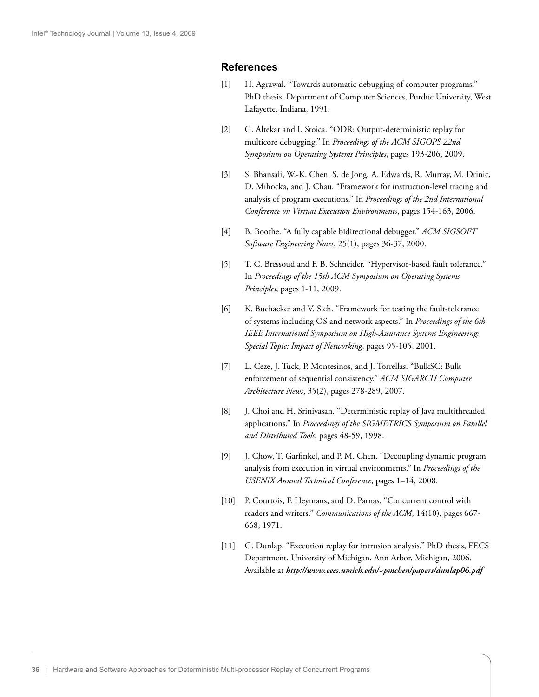### **References**

- [1] H. Agrawal. "Towards automatic debugging of computer programs." PhD thesis, Department of Computer Sciences, Purdue University, West Lafayette, Indiana, 1991.
- [2] G. Altekar and I. Stoica. "ODR: Output-deterministic replay for multicore debugging." In *Proceedings of the ACM SIGOPS 22nd Symposium on Operating Systems Principles*, pages 193-206, 2009.
- [3] S. Bhansali, W.-K. Chen, S. de Jong, A. Edwards, R. Murray, M. Drinic, D. Mihocka, and J. Chau. "Framework for instruction-level tracing and analysis of program executions." In *Proceedings of the 2nd International Conference on Virtual Execution Environments*, pages 154-163, 2006.
- [4] B. Boothe. "A fully capable bidirectional debugger." *ACM SIGSOFT Software Engineering Notes*, 25(1), pages 36-37, 2000.
- [5] T. C. Bressoud and F. B. Schneider. "Hypervisor-based fault tolerance." In *Proceedings of the 15th ACM Symposium on Operating Systems Principles*, pages 1-11, 2009.
- [6] K. Buchacker and V. Sieh. "Framework for testing the fault-tolerance of systems including OS and network aspects." In *Proceedings of the 6th IEEE International Symposium on High-Assurance Systems Engineering: Special Topic: Impact of Networking*, pages 95-105, 2001.
- [7] L. Ceze, J. Tuck, P. Montesinos, and J. Torrellas. "BulkSC: Bulk enforcement of sequential consistency." *ACM SIGARCH Computer Architecture News*, 35(2), pages 278-289, 2007.
- [8] J. Choi and H. Srinivasan. "Deterministic replay of Java multithreaded applications." In *Proceedings of the SIGMETRICS Symposium on Parallel and Distributed Tools*, pages 48-59, 1998.
- [9] J. Chow, T. Garfinkel, and P. M. Chen. "Decoupling dynamic program analysis from execution in virtual environments." In *Proceedings of the USENIX Annual Technical Conference*, pages 1–14, 2008.
- [10] P. Courtois, F. Heymans, and D. Parnas. "Concurrent control with readers and writers." *Communications of the ACM*, 14(10), pages 667- 668, 1971.
- [11] G. Dunlap. "Execution replay for intrusion analysis." PhD thesis, EECS Department, University of Michigan, Ann Arbor, Michigan, 2006. Available at *http://www.eecs.umich.edu/~pmchen/papers/dunlap06.pdf*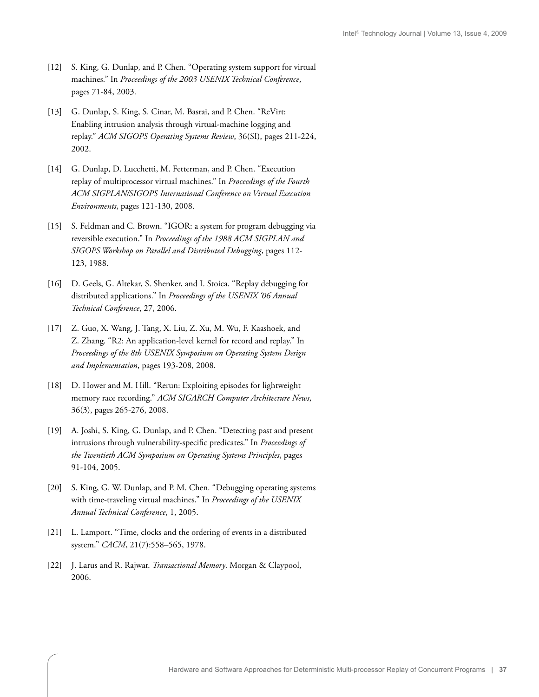- [12] S. King, G. Dunlap, and P. Chen. "Operating system support for virtual machines." In *Proceedings of the 2003 USENIX Technical Conference*, pages 71-84, 2003.
- [13] G. Dunlap, S. King, S. Cinar, M. Basrai, and P. Chen. "ReVirt: Enabling intrusion analysis through virtual-machine logging and replay." *ACM SIGOPS Operating Systems Review*, 36(SI), pages 211-224, 2002.
- [14] G. Dunlap, D. Lucchetti, M. Fetterman, and P. Chen. "Execution replay of multiprocessor virtual machines." In *Proceedings of the Fourth ACM SIGPLAN/SIGOPS International Conference on Virtual Execution Environments*, pages 121-130, 2008.
- [15] S. Feldman and C. Brown. "IGOR: a system for program debugging via reversible execution." In *Proceedings of the 1988 ACM SIGPLAN and SIGOPS Workshop on Parallel and Distributed Debugging*, pages 112- 123, 1988.
- [16] D. Geels, G. Altekar, S. Shenker, and I. Stoica. "Replay debugging for distributed applications." In *Proceedings of the USENIX '06 Annual Technical Conference*, 27, 2006.
- [17] Z. Guo, X. Wang, J. Tang, X. Liu, Z. Xu, M. Wu, F. Kaashoek, and Z. Zhang. "R2: An application-level kernel for record and replay." In *Proceedings of the 8th USENIX Symposium on Operating System Design and Implementation*, pages 193-208, 2008.
- [18] D. Hower and M. Hill. "Rerun: Exploiting episodes for lightweight memory race recording." *ACM SIGARCH Computer Architecture News*, 36(3), pages 265-276, 2008.
- [19] A. Joshi, S. King, G. Dunlap, and P. Chen. "Detecting past and present intrusions through vulnerability-specific predicates." In *Proceedings of the Twentieth ACM Symposium on Operating Systems Principles*, pages 91-104, 2005.
- [20] S. King, G. W. Dunlap, and P. M. Chen. "Debugging operating systems with time-traveling virtual machines." In *Proceedings of the USENIX Annual Technical Conference*, 1, 2005.
- [21] L. Lamport. "Time, clocks and the ordering of events in a distributed system." *CACM*, 21(7):558–565, 1978.
- [22] J. Larus and R. Rajwar. *Transactional Memory*. Morgan & Claypool, 2006.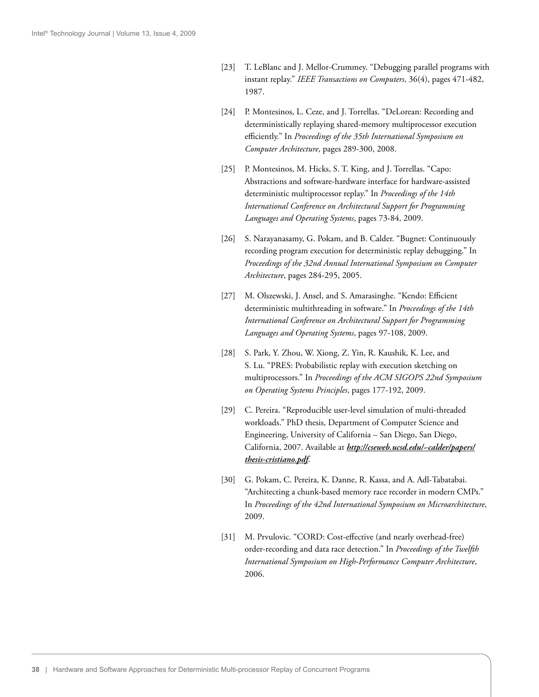- [23] T. LeBlanc and J. Mellor-Crummey. "Debugging parallel programs with instant replay." *IEEE Transactions on Computers*, 36(4), pages 471-482, 1987.
- [24] P. Montesinos, L. Ceze, and J. Torrellas. "DeLorean: Recording and deterministically replaying shared-memory multiprocessor execution efficiently." In *Proceedings of the 35th International Symposium on Computer Architecture*, pages 289-300, 2008.
- [25] P. Montesinos, M. Hicks, S. T. King, and J. Torrellas. "Capo: Abstractions and software-hardware interface for hardware-assisted deterministic multiprocessor replay." In *Proceedings of the 14th International Conference on Architectural Support for Programming Languages and Operating Systems*, pages 73-84, 2009.
- [26] S. Narayanasamy, G. Pokam, and B. Calder. "Bugnet: Continuously recording program execution for deterministic replay debugging." In *Proceedings of the 32nd Annual International Symposium on Computer Architecture*, pages 284-295, 2005.
- [27] M. Olszewski, J. Ansel, and S. Amarasinghe. "Kendo: Efficient deterministic multithreading in software." In *Proceedings of the 14th International Conference on Architectural Support for Programming Languages and Operating Systems*, pages 97-108, 2009.
- [28] S. Park, Y. Zhou, W. Xiong, Z. Yin, R. Kaushik, K. Lee, and S. Lu. "PRES: Probabilistic replay with execution sketching on multiprocessors." In *Proceedings of the ACM SIGOPS 22nd Symposium on Operating Systems Principles*, pages 177-192, 2009.
- [29] C. Pereira. "Reproducible user-level simulation of multi-threaded workloads." PhD thesis, Department of Computer Science and Engineering, University of California – San Diego, San Diego, California, 2007. Available at *http://cseweb.ucsd.edu/~calder/papers/ thesis-cristiano.pdf*.
- [30] G. Pokam, C. Pereira, K. Danne, R. Kassa, and A. Adl-Tabatabai. "Architecting a chunk-based memory race recorder in modern CMPs." In *Proceedings of the 42nd International Symposium on Microarchitecture*, 2009.
- [31] M. Prvulovic. "CORD: Cost-effective (and nearly overhead-free) order-recording and data race detection." In *Proceedings of the Twelfth International Symposium on High-Performance Computer Architecture*, 2006.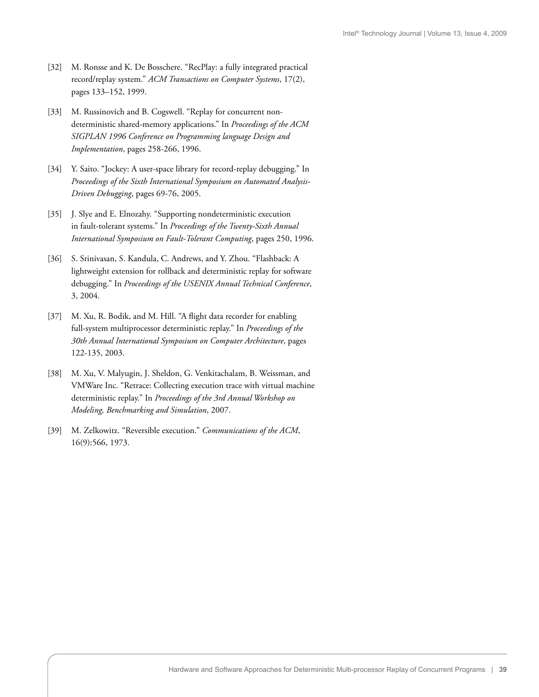- [32] M. Ronsse and K. De Bosschere. "RecPlay: a fully integrated practical record/replay system." *ACM Transactions on Computer Systems*, 17(2), pages 133–152, 1999.
- [33] M. Russinovich and B. Cogswell. "Replay for concurrent nondeterministic shared-memory applications." In *Proceedings of the ACM SIGPLAN 1996 Conference on Programming language Design and Implementation*, pages 258-266, 1996.
- [34] Y. Saito. "Jockey: A user-space library for record-replay debugging." In *Proceedings of the Sixth International Symposium on Automated Analysis-Driven Debugging*, pages 69-76, 2005.
- [35] J. Slye and E. Elnozahy. "Supporting nondeterministic execution in fault-tolerant systems." In *Proceedings of the Twenty-Sixth Annual International Symposium on Fault-Tolerant Computing*, pages 250, 1996.
- [36] S. Srinivasan, S. Kandula, C. Andrews, and Y. Zhou. "Flashback: A lightweight extension for rollback and deterministic replay for software debugging." In *Proceedings of the USENIX Annual Technical Conference*, 3, 2004.
- [37] M. Xu, R. Bodik, and M. Hill. "A flight data recorder for enabling full-system multiprocessor deterministic replay." In *Proceedings of the 30th Annual International Symposium on Computer Architecture*, pages 122-135, 2003.
- [38] M. Xu, V. Malyugin, J. Sheldon, G. Venkitachalam, B. Weissman, and VMWare Inc. "Retrace: Collecting execution trace with virtual machine deterministic replay." In *Proceedings of the 3rd Annual Workshop on Modeling, Benchmarking and Simulation*, 2007.
- [39] M. Zelkowitz. "Reversible execution." *Communications of the ACM*, 16(9):566, 1973.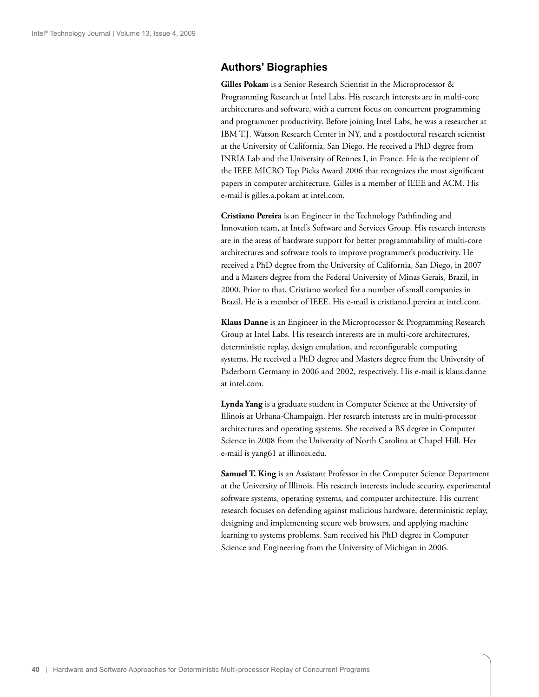### **Authors' Biographies**

**Gilles Pokam** is a Senior Research Scientist in the Microprocessor & Programming Research at Intel Labs. His research interests are in multi-core architectures and software, with a current focus on concurrent programming and programmer productivity. Before joining Intel Labs, he was a researcher at IBM T.J. Watson Research Center in NY, and a postdoctoral research scientist at the University of California, San Diego. He received a PhD degree from INRIA Lab and the University of Rennes I, in France. He is the recipient of the IEEE MICRO Top Picks Award 2006 that recognizes the most significant papers in computer architecture. Gilles is a member of IEEE and ACM. His e-mail is gilles.a.pokam at intel.com.

**Cristiano Pereira** is an Engineer in the Technology Pathfinding and Innovation team, at Intel's Software and Services Group. His research interests are in the areas of hardware support for better programmability of multi-core architectures and software tools to improve programmer's productivity. He received a PhD degree from the University of California, San Diego, in 2007 and a Masters degree from the Federal University of Minas Gerais, Brazil, in 2000. Prior to that, Cristiano worked for a number of small companies in Brazil. He is a member of IEEE. His e-mail is cristiano.l.pereira at intel.com.

**Klaus Danne** is an Engineer in the Microprocessor & Programming Research Group at Intel Labs. His research interests are in multi-core architectures, deterministic replay, design emulation, and reconfigurable computing systems. He received a PhD degree and Masters degree from the University of Paderborn Germany in 2006 and 2002, respectively. His e-mail is klaus.danne at intel.com.

**Lynda Yang** is a graduate student in Computer Science at the University of Illinois at Urbana-Champaign. Her research interests are in multi-processor architectures and operating systems. She received a BS degree in Computer Science in 2008 from the University of North Carolina at Chapel Hill. Her e-mail is yang61 at illinois.edu.

**Samuel T. King** is an Assistant Professor in the Computer Science Department at the University of Illinois. His research interests include security, experimental software systems, operating systems, and computer architecture. His current research focuses on defending against malicious hardware, deterministic replay, designing and implementing secure web browsers, and applying machine learning to systems problems. Sam received his PhD degree in Computer Science and Engineering from the University of Michigan in 2006.